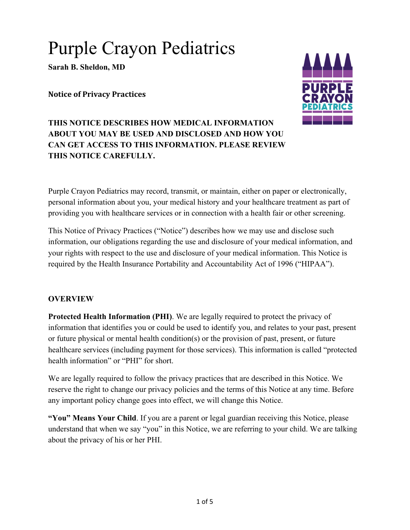# Purple Crayon Pediatrics

**Sarah B. Sheldon, MD**

**Notice of Privacy Practices**



# **THIS NOTICE DESCRIBES HOW MEDICAL INFORMATION ABOUT YOU MAY BE USED AND DISCLOSED AND HOW YOU CAN GET ACCESS TO THIS INFORMATION. PLEASE REVIEW THIS NOTICE CAREFULLY.**

Purple Crayon Pediatrics may record, transmit, or maintain, either on paper or electronically, personal information about you, your medical history and your healthcare treatment as part of providing you with healthcare services or in connection with a health fair or other screening.

This Notice of Privacy Practices ("Notice") describes how we may use and disclose such information, our obligations regarding the use and disclosure of your medical information, and your rights with respect to the use and disclosure of your medical information. This Notice is required by the Health Insurance Portability and Accountability Act of 1996 ("HIPAA").

## **OVERVIEW**

**Protected Health Information (PHI)**. We are legally required to protect the privacy of information that identifies you or could be used to identify you, and relates to your past, present or future physical or mental health condition(s) or the provision of past, present, or future healthcare services (including payment for those services). This information is called "protected health information" or "PHI" for short.

We are legally required to follow the privacy practices that are described in this Notice. We reserve the right to change our privacy policies and the terms of this Notice at any time. Before any important policy change goes into effect, we will change this Notice.

**"You" Means Your Child**. If you are a parent or legal guardian receiving this Notice, please understand that when we say "you" in this Notice, we are referring to your child. We are talking about the privacy of his or her PHI.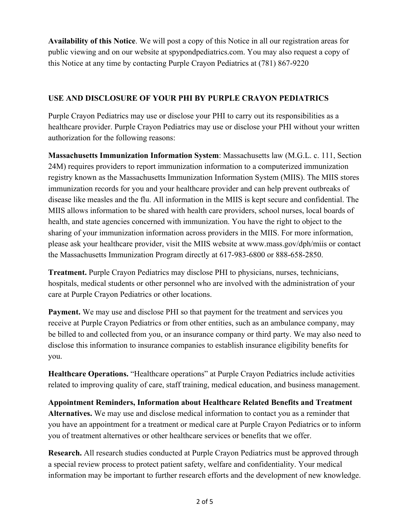**Availability of this Notice**. We will post a copy of this Notice in all our registration areas for public viewing and on our website at spypondpediatrics.com. You may also request a copy of this Notice at any time by contacting Purple Crayon Pediatrics at (781) 867-9220

#### **USE AND DISCLOSURE OF YOUR PHI BY PURPLE CRAYON PEDIATRICS**

Purple Crayon Pediatrics may use or disclose your PHI to carry out its responsibilities as a healthcare provider. Purple Crayon Pediatrics may use or disclose your PHI without your written authorization for the following reasons:

**Massachusetts Immunization Information System**: Massachusetts law (M.G.L. c. 111, Section 24M) requires providers to report immunization information to a computerized immunization registry known as the Massachusetts Immunization Information System (MIIS). The MIIS stores immunization records for you and your healthcare provider and can help prevent outbreaks of disease like measles and the flu. All information in the MIIS is kept secure and confidential. The MIIS allows information to be shared with health care providers, school nurses, local boards of health, and state agencies concerned with immunization. You have the right to object to the sharing of your immunization information across providers in the MIIS. For more information, please ask your healthcare provider, visit the MIIS website at www.mass.gov/dph/miis or contact the Massachusetts Immunization Program directly at 617-983-6800 or 888-658-2850.

**Treatment.** Purple Crayon Pediatrics may disclose PHI to physicians, nurses, technicians, hospitals, medical students or other personnel who are involved with the administration of your care at Purple Crayon Pediatrics or other locations.

**Payment.** We may use and disclose PHI so that payment for the treatment and services you receive at Purple Crayon Pediatrics or from other entities, such as an ambulance company, may be billed to and collected from you, or an insurance company or third party. We may also need to disclose this information to insurance companies to establish insurance eligibility benefits for you.

**Healthcare Operations.** "Healthcare operations" at Purple Crayon Pediatrics include activities related to improving quality of care, staff training, medical education, and business management.

**Appointment Reminders, Information about Healthcare Related Benefits and Treatment Alternatives.** We may use and disclose medical information to contact you as a reminder that you have an appointment for a treatment or medical care at Purple Crayon Pediatrics or to inform you of treatment alternatives or other healthcare services or benefits that we offer.

**Research.** All research studies conducted at Purple Crayon Pediatrics must be approved through a special review process to protect patient safety, welfare and confidentiality. Your medical information may be important to further research efforts and the development of new knowledge.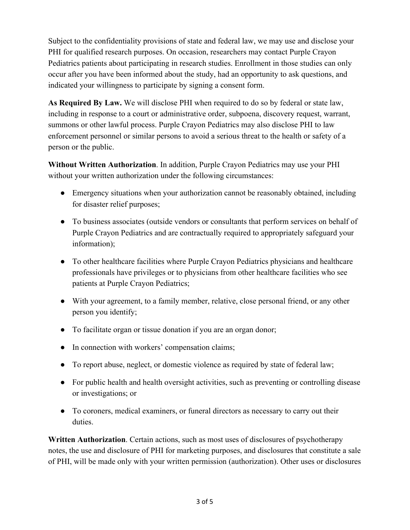Subject to the confidentiality provisions of state and federal law, we may use and disclose your PHI for qualified research purposes. On occasion, researchers may contact Purple Crayon Pediatrics patients about participating in research studies. Enrollment in those studies can only occur after you have been informed about the study, had an opportunity to ask questions, and indicated your willingness to participate by signing a consent form.

**As Required By Law.** We will disclose PHI when required to do so by federal or state law, including in response to a court or administrative order, subpoena, discovery request, warrant, summons or other lawful process. Purple Crayon Pediatrics may also disclose PHI to law enforcement personnel or similar persons to avoid a serious threat to the health or safety of a person or the public.

**Without Written Authorization**. In addition, Purple Crayon Pediatrics may use your PHI without your written authorization under the following circumstances:

- Emergency situations when your authorization cannot be reasonably obtained, including for disaster relief purposes;
- To business associates (outside vendors or consultants that perform services on behalf of Purple Crayon Pediatrics and are contractually required to appropriately safeguard your information);
- To other healthcare facilities where Purple Crayon Pediatrics physicians and healthcare professionals have privileges or to physicians from other healthcare facilities who see patients at Purple Crayon Pediatrics;
- With your agreement, to a family member, relative, close personal friend, or any other person you identify;
- To facilitate organ or tissue donation if you are an organ donor;
- In connection with workers' compensation claims;
- To report abuse, neglect, or domestic violence as required by state of federal law;
- For public health and health oversight activities, such as preventing or controlling disease or investigations; or
- To coroners, medical examiners, or funeral directors as necessary to carry out their duties.

**Written Authorization**. Certain actions, such as most uses of disclosures of psychotherapy notes, the use and disclosure of PHI for marketing purposes, and disclosures that constitute a sale of PHI, will be made only with your written permission (authorization). Other uses or disclosures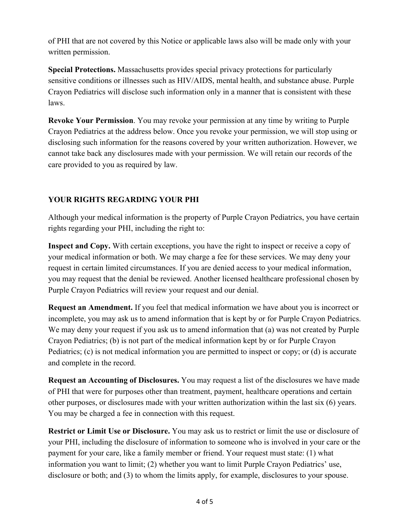of PHI that are not covered by this Notice or applicable laws also will be made only with your written permission.

**Special Protections.** Massachusetts provides special privacy protections for particularly sensitive conditions or illnesses such as HIV/AIDS, mental health, and substance abuse. Purple Crayon Pediatrics will disclose such information only in a manner that is consistent with these laws.

**Revoke Your Permission**. You may revoke your permission at any time by writing to Purple Crayon Pediatrics at the address below. Once you revoke your permission, we will stop using or disclosing such information for the reasons covered by your written authorization. However, we cannot take back any disclosures made with your permission. We will retain our records of the care provided to you as required by law.

# **YOUR RIGHTS REGARDING YOUR PHI**

Although your medical information is the property of Purple Crayon Pediatrics, you have certain rights regarding your PHI, including the right to:

**Inspect and Copy.** With certain exceptions, you have the right to inspect or receive a copy of your medical information or both. We may charge a fee for these services. We may deny your request in certain limited circumstances. If you are denied access to your medical information, you may request that the denial be reviewed. Another licensed healthcare professional chosen by Purple Crayon Pediatrics will review your request and our denial.

**Request an Amendment.** If you feel that medical information we have about you is incorrect or incomplete, you may ask us to amend information that is kept by or for Purple Crayon Pediatrics. We may deny your request if you ask us to amend information that (a) was not created by Purple Crayon Pediatrics; (b) is not part of the medical information kept by or for Purple Crayon Pediatrics; (c) is not medical information you are permitted to inspect or copy; or (d) is accurate and complete in the record.

**Request an Accounting of Disclosures.** You may request a list of the disclosures we have made of PHI that were for purposes other than treatment, payment, healthcare operations and certain other purposes, or disclosures made with your written authorization within the last six (6) years. You may be charged a fee in connection with this request.

**Restrict or Limit Use or Disclosure.** You may ask us to restrict or limit the use or disclosure of your PHI, including the disclosure of information to someone who is involved in your care or the payment for your care, like a family member or friend. Your request must state: (1) what information you want to limit; (2) whether you want to limit Purple Crayon Pediatrics' use, disclosure or both; and (3) to whom the limits apply, for example, disclosures to your spouse.